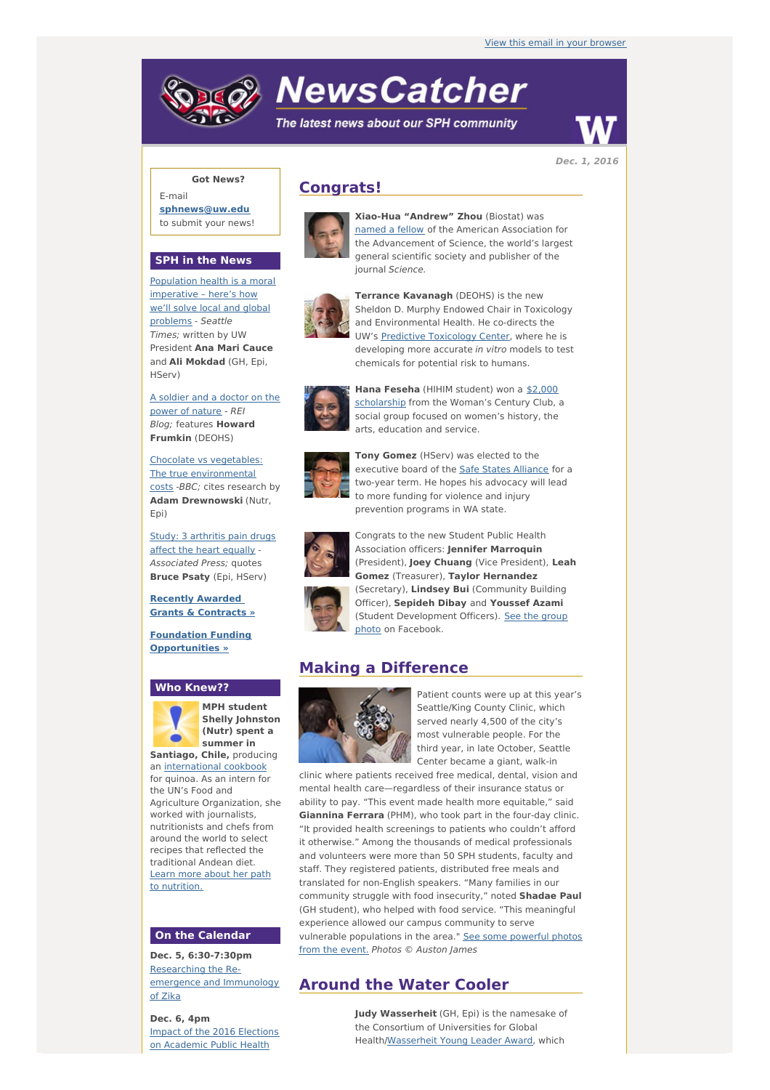# **NewsCatcher**

The latest news about our SPH community



**Dec. 1, 2016**

### **Got News?**

E-mail **[sphnews@uw.edu](mailto:sphnews@uw.edu)** to submit your news!

#### **SPH in the News**

Population health is a moral [imperative](http://engage.washington.edu/site/R?i=lzXZWO0tcITCy1IYNiQtVw) – here's how we'll solve local and global problems - Seattle Times; written by UW President **Ana Mari Cauce** and **Ali Mokdad** (GH, Epi, HServ)

A [soldier](http://engage.washington.edu/site/R?i=tkpUrrXE4WPuQdtSj3M1hQ) and a doctor on the power of nature - REI Blog; features **Howard Frumkin** (DEOHS)

Chocolate vs vegetables: The true [environmental](http://engage.washington.edu/site/R?i=cHhQkY7z3Id8GxTRHoAOag) costs -BBC; cites research by **Adam Drewnowski** (Nutr, Epi)

Study: 3 [arthritis](http://engage.washington.edu/site/R?i=In7rz8LM7GrYxScvdW4g_w) pain drugs affect the heart equally - Associated Press; quotes **Bruce Psaty** (Epi, HServ)

**Recently Awarded Grants & [Contracts](http://engage.washington.edu/site/R?i=WgPjjrquSEWtZyRChziksw) »**

**Foundation Funding [Opportunities](http://engage.washington.edu/site/R?i=QPPA8WfqFR1_xCax4vvEWA) »**

#### **Who Knew??**



**MPH student Shelly Johnston (Nutr) spent a summer in**

**Santiago, Chile,** producing an [international](http://engage.washington.edu/site/R?i=WHqvyondaU5gg9ZYVoUstw) cookbook for quinoa. As an intern for the UN's Food and Agriculture Organization, she worked with journalists. nutritionists and chefs from around the world to select recipes that reflected the traditional Andean diet. Learn more about her path to [nutrition.](http://engage.washington.edu/site/R?i=YiP7TROBhEN0VAXvm7cDdg)

## **On the Calendar**

**Dec. 5, 6:30-7:30pm** [Researching](http://engage.washington.edu/site/R?i=XL70h3quo-yO-k6uCbisew) the Reemergence and Immunology of Zika

**Dec. 6, 4pm** Impact of the 2016 Elections on [Academic](http://engage.washington.edu/site/R?i=rF8x-gtBniKt6-T5HN8qOg) Public Health

# **Congrats!**



**Xiao-Hua "Andrew" Zhou** (Biostat) was [named](http://engage.washington.edu/site/R?i=UnrznlpNdLPJk2SX9jK0pw) a fellow of the American Association for the Advancement of Science, the world's largest general scientific society and publisher of the journal Science.



**Terrance Kavanagh** (DEOHS) is the new Sheldon D. Murphy Endowed Chair in Toxicology and Environmental Health. He co-directs the UW's Predictive [Toxicology](http://engage.washington.edu/site/R?i=vo1abjKkz-XvsP_-vSJYhQ) Center, where he is developing more accurate in vitro models to test chemicals for potential risk to humans.



**Hana Feseha** (HIHIM student) won a \$2,000 [scholarship](http://engage.washington.edu/site/R?i=KDdvP0LfMXoZZSe46JMFCw) from the Woman's Century Club, a social group focused on women's history, the arts, education and service.



**Tony Gomez** (HServ) was elected to the executive board of the Safe States [Alliance](http://engage.washington.edu/site/R?i=6G5fpaCYnEcQSplUwbrtUA) for a two-year term. He hopes his advocacy will lead to more funding for violence and injury prevention programs in WA state.



Congrats to the new Student Public Health Association officers: **Jennifer Marroquin** (President), **Joey Chuang** (Vice President), **Leah Gomez** (Treasurer), **Taylor Hernandez** (Secretary), **Lindsey Bui** (Community Building Officer), **Sepideh Dibay** and **Youssef Azami** (Student [Development](http://engage.washington.edu/site/R?i=2gpE6uXQCASRKoRE-hTjJw) Officers). See the group photo on Facebook.

# **Making a Difference**



Patient counts were up at this year's Seattle/King County Clinic, which served nearly 4,500 of the city's most vulnerable people. For the third year, in late October, Seattle Center became a giant, walk-in

clinic where patients received free medical, dental, vision and mental health care—regardless of their insurance status or ability to pay. "This event made health more equitable," said **Giannina Ferrara** (PHM), who took part in the four-day clinic. "It provided health screenings to patients who couldn't afford it otherwise." Among the thousands of medical professionals and volunteers were more than 50 SPH students, faculty and staff. They registered patients, distributed free meals and translated for non-English speakers. "Many families in our community struggle with food insecurity," noted **Shadae Paul** (GH student), who helped with food service. "This meaningful experience allowed our campus community to serve vulnerable [populations](http://engage.washington.edu/site/R?i=54_O2Y_RJStBNs3dbZgZLQ) in the area." See some powerful photos from the event. Photos © Auston James

# **Around the Water Cooler**

**Judy Wasserheit** (GH, Epi) is the namesake of the Consortium of Universities for Global Health[/Wasserheit](http://engage.washington.edu/site/R?i=XJcbSRVRpX7TEaRlXXVXDA) Young Leader Award, which